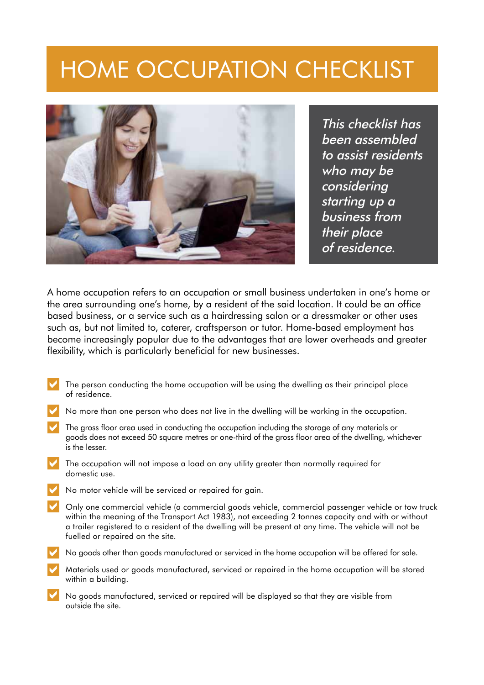# Home occupation checklist



This checklist has been assembled to assist residents who may be considering starting up a business from their place of residence.

A home occupation refers to an occupation or small business undertaken in one's home or the area surrounding one's home, by a resident of the said location. It could be an office based business, or a service such as a hairdressing salon or a dressmaker or other uses such as, but not limited to, caterer, craftsperson or tutor. Home-based employment has become increasingly popular due to the advantages that are lower overheads and greater flexibility, which is particularly beneficial for new businesses.

- The person conducting the home occupation will be using the dwelling as their principal place of residence.
- No more than one person who does not live in the dwelling will be working in the occupation.
- The gross floor area used in conducting the occupation including the storage of any materials or goods does not exceed 50 square metres or one-third of the gross floor area of the dwelling, whichever is the lesser.
- The occupation will not impose a load on any utility greater than normally required for domestic use.
- No motor vehicle will be serviced or repaired for gain.
- Only one commercial vehicle (a commercial goods vehicle, commercial passenger vehicle or tow truck within the meaning of the Transport Act 1983), not exceeding 2 tonnes capacity and with or without a trailer registered to a resident of the dwelling will be present at any time. The vehicle will not be fuelled or repaired on the site.
- No goods other than goods manufactured or serviced in the home occupation will be offered for sale.
- Materials used or goods manufactured, serviced or repaired in the home occupation will be stored within a building.
- No goods manufactured, serviced or repaired will be displayed so that they are visible from outside the site.